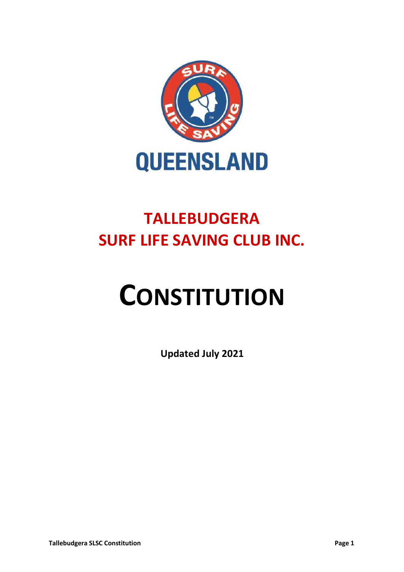

## **TALLEBUDGERA SURF LIFE SAVING CLUB INC.**

# **CONSTITUTION**

**Updated July 2021**

**Tallebudgera SLSC Constitution Page 1**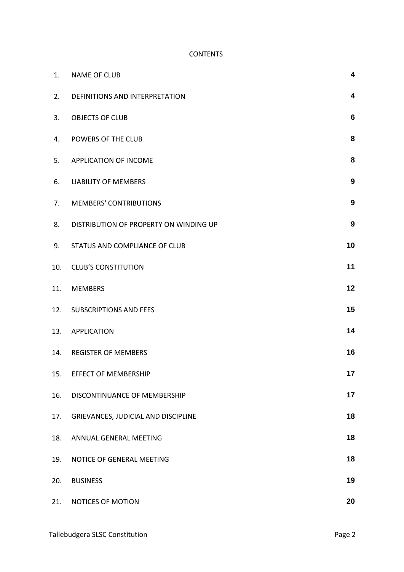#### **CONTENTS**

| 1.  | <b>NAME OF CLUB</b>                    | 4                |
|-----|----------------------------------------|------------------|
| 2.  | DEFINITIONS AND INTERPRETATION         | 4                |
| 3.  | <b>OBJECTS OF CLUB</b>                 | $6\phantom{1}6$  |
| 4.  | POWERS OF THE CLUB                     | 8                |
| 5.  | <b>APPLICATION OF INCOME</b>           | 8                |
| 6.  | <b>LIABILITY OF MEMBERS</b>            | 9                |
| 7.  | <b>MEMBERS' CONTRIBUTIONS</b>          | $\boldsymbol{9}$ |
| 8.  | DISTRIBUTION OF PROPERTY ON WINDING UP | $\boldsymbol{9}$ |
| 9.  | <b>STATUS AND COMPLIANCE OF CLUB</b>   | 10               |
| 10. | <b>CLUB'S CONSTITUTION</b>             | 11               |
| 11. | <b>MEMBERS</b>                         | 12               |
| 12. | <b>SUBSCRIPTIONS AND FEES</b>          | 15               |
| 13. | APPLICATION                            | 14               |
| 14. | <b>REGISTER OF MEMBERS</b>             | 16               |
| 15. | <b>EFFECT OF MEMBERSHIP</b>            | 17               |
| 16. | DISCONTINUANCE OF MEMBERSHIP           | 17               |
| 17. | GRIEVANCES, JUDICIAL AND DISCIPLINE    | 18               |
| 18. | ANNUAL GENERAL MEETING                 | 18               |
| 19. | NOTICE OF GENERAL MEETING              | 18               |
| 20. | <b>BUSINESS</b>                        | 19               |
| 21. | NOTICES OF MOTION                      | 20               |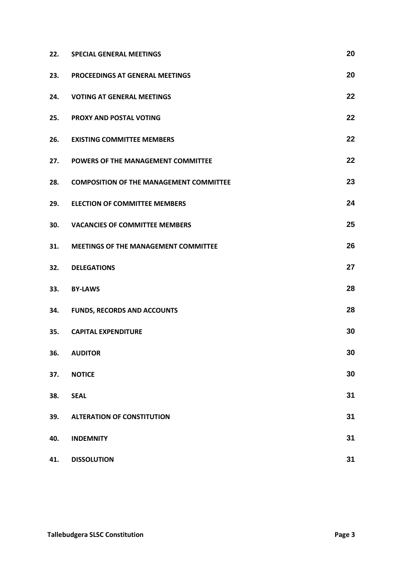| 22. | <b>SPECIAL GENERAL MEETINGS</b>                | 20 |
|-----|------------------------------------------------|----|
| 23. | PROCEEDINGS AT GENERAL MEETINGS                | 20 |
| 24. | <b>VOTING AT GENERAL MEETINGS</b>              | 22 |
| 25. | PROXY AND POSTAL VOTING                        | 22 |
| 26. | <b>EXISTING COMMITTEE MEMBERS</b>              | 22 |
| 27. | POWERS OF THE MANAGEMENT COMMITTEE             | 22 |
| 28. | <b>COMPOSITION OF THE MANAGEMENT COMMITTEE</b> | 23 |
| 29. | <b>ELECTION OF COMMITTEE MEMBERS</b>           | 24 |
| 30. | <b>VACANCIES OF COMMITTEE MEMBERS</b>          | 25 |
| 31. | <b>MEETINGS OF THE MANAGEMENT COMMITTEE</b>    | 26 |
| 32. | <b>DELEGATIONS</b>                             | 27 |
| 33. | <b>BY-LAWS</b>                                 | 28 |
| 34. | <b>FUNDS, RECORDS AND ACCOUNTS</b>             | 28 |
| 35. |                                                |    |
|     | <b>CAPITAL EXPENDITURE</b>                     | 30 |
| 36. | <b>AUDITOR</b>                                 | 30 |
| 37. | <b>NOTICE</b>                                  | 30 |
| 38. | <b>SEAL</b>                                    | 31 |
| 39. | <b>ALTERATION OF CONSTITUTION</b>              | 31 |
| 40. | <b>INDEMNITY</b>                               | 31 |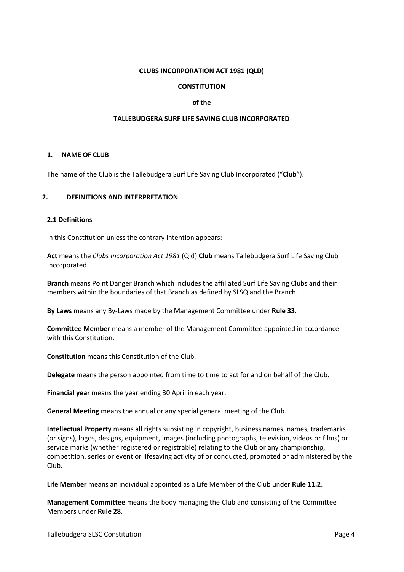#### **CLUBS INCORPORATION ACT 1981 (QLD)**

#### **CONSTITUTION**

#### **of the**

#### **TALLEBUDGERA SURF LIFE SAVING CLUB INCORPORATED**

#### **1. NAME OF CLUB**

The name of the Club is the Tallebudgera Surf Life Saving Club Incorporated ("**Club**").

#### **2. DEFINITIONS AND INTERPRETATION**

#### **2.1 Definitions**

In this Constitution unless the contrary intention appears:

**Act** means the *Clubs Incorporation Act 1981* (Qld) **Club** means Tallebudgera Surf Life Saving Club Incorporated.

**Branch** means Point Danger Branch which includes the affiliated Surf Life Saving Clubs and their members within the boundaries of that Branch as defined by SLSQ and the Branch.

**By Laws** means any By-Laws made by the Management Committee under **Rule 33**.

**Committee Member** means a member of the Management Committee appointed in accordance with this Constitution.

**Constitution** means this Constitution of the Club.

**Delegate** means the person appointed from time to time to act for and on behalf of the Club.

**Financial year** means the year ending 30 April in each year.

**General Meeting** means the annual or any special general meeting of the Club.

**Intellectual Property** means all rights subsisting in copyright, business names, names, trademarks (or signs), logos, designs, equipment, images (including photographs, television, videos or films) or service marks (whether registered or registrable) relating to the Club or any championship, competition, series or event or lifesaving activity of or conducted, promoted or administered by the Club.

**Life Member** means an individual appointed as a Life Member of the Club under **Rule 11.2**.

**Management Committee** means the body managing the Club and consisting of the Committee Members under **Rule 28**.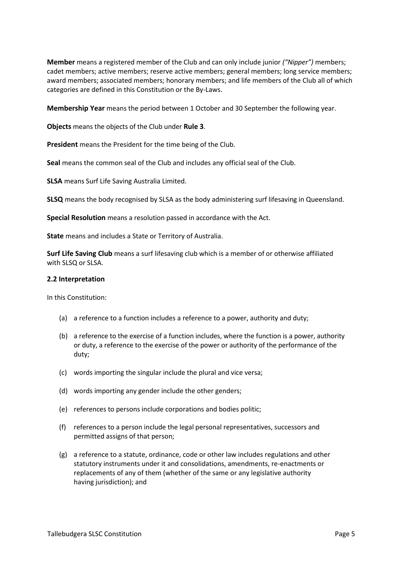**Member** means a registered member of the Club and can only include junior *("Nipper")* members; cadet members; active members; reserve active members; general members; long service members; award members; associated members; honorary members; and life members of the Club all of which categories are defined in this Constitution or the By-Laws.

**Membership Year** means the period between 1 October and 30 September the following year.

**Objects** means the objects of the Club under **Rule 3**.

**President** means the President for the time being of the Club.

**Seal** means the common seal of the Club and includes any official seal of the Club.

**SLSA** means Surf Life Saving Australia Limited.

**SLSQ** means the body recognised by SLSA as the body administering surf lifesaving in Queensland.

**Special Resolution** means a resolution passed in accordance with the Act.

**State** means and includes a State or Territory of Australia.

**Surf Life Saving Club** means a surf lifesaving club which is a member of or otherwise affiliated with SLSQ or SLSA.

#### **2.2 Interpretation**

In this Constitution:

- (a) a reference to a function includes a reference to a power, authority and duty;
- (b) a reference to the exercise of a function includes, where the function is a power, authority or duty, a reference to the exercise of the power or authority of the performance of the duty;
- (c) words importing the singular include the plural and vice versa;
- (d) words importing any gender include the other genders;
- (e) references to persons include corporations and bodies politic;
- (f) references to a person include the legal personal representatives, successors and permitted assigns of that person;
- (g) a reference to a statute, ordinance, code or other law includes regulations and other statutory instruments under it and consolidations, amendments, re-enactments or replacements of any of them (whether of the same or any legislative authority having jurisdiction); and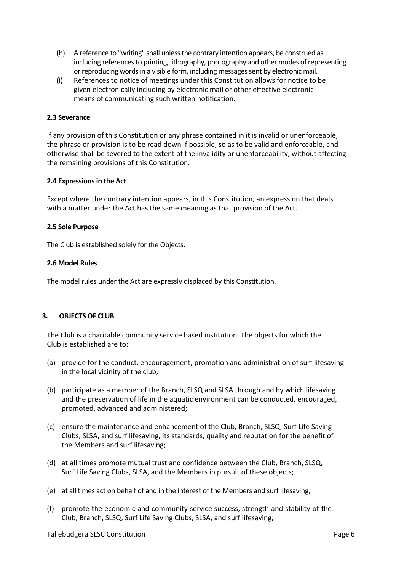- (h) A reference to "writing" shall unless the contrary intention appears, be construed as including references to printing, lithography, photography and other modes of representing or reproducing words in a visible form, including messages sent by electronic mail.
- (i) References to notice of meetings under this Constitution allows for notice to be given electronically including by electronic mail or other effective electronic means of communicating such written notification.

#### **2.3 Severance**

If any provision of this Constitution or any phrase contained in it is invalid or unenforceable, the phrase or provision is to be read down if possible, so as to be valid and enforceable, and otherwise shall be severed to the extent of the invalidity or unenforceability, without affecting the remaining provisions of this Constitution.

#### **2.4 Expressions in the Act**

Except where the contrary intention appears, in this Constitution, an expression that deals with a matter under the Act has the same meaning as that provision of the Act.

#### **2.5 Sole Purpose**

The Club is established solely for the Objects.

#### **2.6 Model Rules**

The model rules under the Act are expressly displaced by this Constitution.

#### **3. OBJECTS OF CLUB**

The Club is a charitable community service based institution. The objects for which the Club is established are to:

- (a) provide for the conduct, encouragement, promotion and administration of surf lifesaving in the local vicinity of the club;
- (b) participate as a member of the Branch, SLSQ and SLSA through and by which lifesaving and the preservation of life in the aquatic environment can be conducted, encouraged, promoted, advanced and administered;
- (c) ensure the maintenance and enhancement of the Club, Branch, SLSQ, Surf Life Saving Clubs, SLSA, and surf lifesaving, its standards, quality and reputation for the benefit of the Members and surf lifesaving;
- (d) at all times promote mutual trust and confidence between the Club, Branch, SLSQ, Surf Life Saving Clubs, SLSA, and the Members in pursuit of these objects;
- (e) at all times act on behalf of and in the interest of the Members and surf lifesaving;
- (f) promote the economic and community service success, strength and stability of the Club, Branch, SLSQ, Surf Life Saving Clubs, SLSA, and surf lifesaving;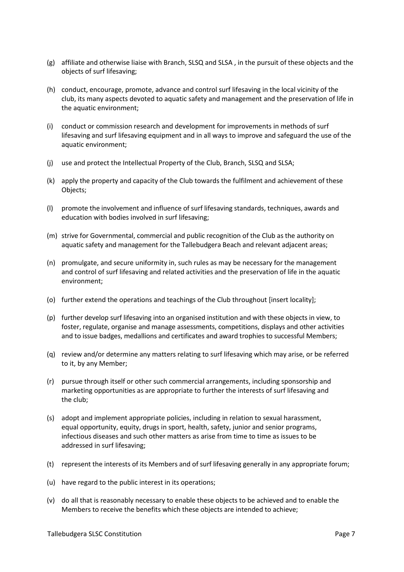- (g) affiliate and otherwise liaise with Branch, SLSQ and SLSA , in the pursuit of these objects and the objects of surf lifesaving;
- (h) conduct, encourage, promote, advance and control surf lifesaving in the local vicinity of the club, its many aspects devoted to aquatic safety and management and the preservation of life in the aquatic environment;
- (i) conduct or commission research and development for improvements in methods of surf lifesaving and surf lifesaving equipment and in all ways to improve and safeguard the use of the aquatic environment;
- (j) use and protect the Intellectual Property of the Club, Branch, SLSQ and SLSA;
- (k) apply the property and capacity of the Club towards the fulfilment and achievement of these Objects;
- (l) promote the involvement and influence of surf lifesaving standards, techniques, awards and education with bodies involved in surf lifesaving;
- (m) strive for Governmental, commercial and public recognition of the Club as the authority on aquatic safety and management for the Tallebudgera Beach and relevant adjacent areas;
- (n) promulgate, and secure uniformity in, such rules as may be necessary for the management and control of surf lifesaving and related activities and the preservation of life in the aquatic environment;
- (o) further extend the operations and teachings of the Club throughout [insert locality];
- (p) further develop surf lifesaving into an organised institution and with these objects in view, to foster, regulate, organise and manage assessments, competitions, displays and other activities and to issue badges, medallions and certificates and award trophies to successful Members;
- (q) review and/or determine any matters relating to surf lifesaving which may arise, or be referred to it, by any Member;
- (r) pursue through itself or other such commercial arrangements, including sponsorship and marketing opportunities as are appropriate to further the interests of surf lifesaving and the club;
- (s) adopt and implement appropriate policies, including in relation to sexual harassment, equal opportunity, equity, drugs in sport, health, safety, junior and senior programs, infectious diseases and such other matters as arise from time to time as issues to be addressed in surf lifesaving;
- (t) represent the interests of its Members and of surf lifesaving generally in any appropriate forum;
- (u) have regard to the public interest in its operations;
- (v) do all that is reasonably necessary to enable these objects to be achieved and to enable the Members to receive the benefits which these objects are intended to achieve;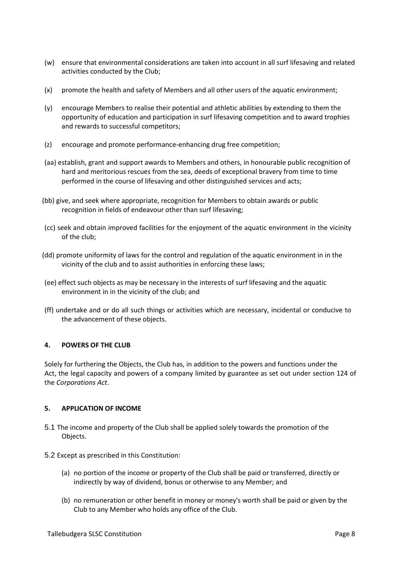- (w) ensure that environmental considerations are taken into account in all surf lifesaving and related activities conducted by the Club;
- (x) promote the health and safety of Members and all other users of the aquatic environment;
- (y) encourage Members to realise their potential and athletic abilities by extending to them the opportunity of education and participation in surf lifesaving competition and to award trophies and rewards to successful competitors;
- (z) encourage and promote performance-enhancing drug free competition;
- (aa) establish, grant and support awards to Members and others, in honourable public recognition of hard and meritorious rescues from the sea, deeds of exceptional bravery from time to time performed in the course of lifesaving and other distinguished services and acts;
- (bb) give, and seek where appropriate, recognition for Members to obtain awards or public recognition in fields of endeavour other than surf lifesaving;
- (cc) seek and obtain improved facilities for the enjoyment of the aquatic environment in the vicinity of the club;
- (dd) promote uniformity of laws for the control and regulation of the aquatic environment in in the vicinity of the club and to assist authorities in enforcing these laws;
- (ee) effect such objects as may be necessary in the interests of surf lifesaving and the aquatic environment in in the vicinity of the club; and
- (ff) undertake and or do all such things or activities which are necessary, incidental or conducive to the advancement of these objects.

#### **4. POWERS OF THE CLUB**

Solely for furthering the Objects, the Club has, in addition to the powers and functions under the Act, the legal capacity and powers of a company limited by guarantee as set out under section 124 of the *Corporations Act*.

#### **5. APPLICATION OF INCOME**

- 5.1 The income and property of the Club shall be applied solely towards the promotion of the Objects.
- 5.2 Except as prescribed in this Constitution:
	- (a) no portion of the income or property of the Club shall be paid or transferred, directly or indirectly by way of dividend, bonus or otherwise to any Member; and
	- (b) no remuneration or other benefit in money or money's worth shall be paid or given by the Club to any Member who holds any office of the Club.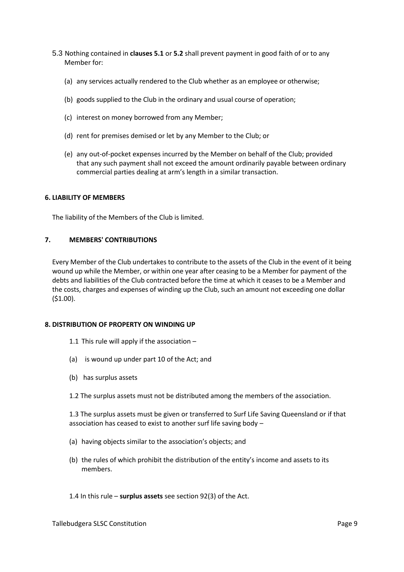- 5.3 Nothing contained in **clauses 5.1** or **5.2** shall prevent payment in good faith of or to any Member for:
	- (a) any services actually rendered to the Club whether as an employee or otherwise;
	- (b) goods supplied to the Club in the ordinary and usual course of operation;
	- (c) interest on money borrowed from any Member;
	- (d) rent for premises demised or let by any Member to the Club; or
	- (e) any out-of-pocket expenses incurred by the Member on behalf of the Club; provided that any such payment shall not exceed the amount ordinarily payable between ordinary commercial parties dealing at arm's length in a similar transaction.

#### **6. LIABILITY OF MEMBERS**

The liability of the Members of the Club is limited.

#### **7. MEMBERS' CONTRIBUTIONS**

Every Member of the Club undertakes to contribute to the assets of the Club in the event of it being wound up while the Member, or within one year after ceasing to be a Member for payment of the debts and liabilities of the Club contracted before the time at which it ceases to be a Member and the costs, charges and expenses of winding up the Club, such an amount not exceeding one dollar (\$1.00).

#### **8. DISTRIBUTION OF PROPERTY ON WINDING UP**

- 1.1 This rule will apply if the association –
- (a) is wound up under part 10 of the Act; and
- (b) has surplus assets
- 1.2 The surplus assets must not be distributed among the members of the association.

1.3 The surplus assets must be given or transferred to Surf Life Saving Queensland or if that association has ceased to exist to another surf life saving body –

- (a) having objects similar to the association's objects; and
- (b) the rules of which prohibit the distribution of the entity's income and assets to its members.
- 1.4 In this rule **surplus assets** see section 92(3) of the Act.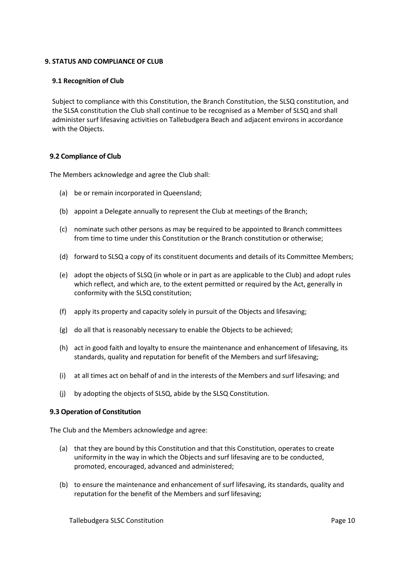#### **9. STATUS AND COMPLIANCE OF CLUB**

#### **9.1 Recognition of Club**

Subject to compliance with this Constitution, the Branch Constitution, the SLSQ constitution, and the SLSA constitution the Club shall continue to be recognised as a Member of SLSQ and shall administer surf lifesaving activities on Tallebudgera Beach and adjacent environs in accordance with the Objects.

#### **9.2 Compliance of Club**

The Members acknowledge and agree the Club shall:

- (a) be or remain incorporated in Queensland;
- (b) appoint a Delegate annually to represent the Club at meetings of the Branch;
- (c) nominate such other persons as may be required to be appointed to Branch committees from time to time under this Constitution or the Branch constitution or otherwise;
- (d) forward to SLSQ a copy of its constituent documents and details of its Committee Members;
- (e) adopt the objects of SLSQ (in whole or in part as are applicable to the Club) and adopt rules which reflect, and which are, to the extent permitted or required by the Act, generally in conformity with the SLSQ constitution;
- (f) apply its property and capacity solely in pursuit of the Objects and lifesaving;
- (g) do all that is reasonably necessary to enable the Objects to be achieved;
- (h) act in good faith and loyalty to ensure the maintenance and enhancement of lifesaving, its standards, quality and reputation for benefit of the Members and surf lifesaving;
- (i) at all times act on behalf of and in the interests of the Members and surf lifesaving; and
- (j) by adopting the objects of SLSQ, abide by the SLSQ Constitution.

#### **9.3 Operation of Constitution**

The Club and the Members acknowledge and agree:

- (a) that they are bound by this Constitution and that this Constitution, operates to create uniformity in the way in which the Objects and surf lifesaving are to be conducted, promoted, encouraged, advanced and administered;
- (b) to ensure the maintenance and enhancement of surf lifesaving, its standards, quality and reputation for the benefit of the Members and surf lifesaving;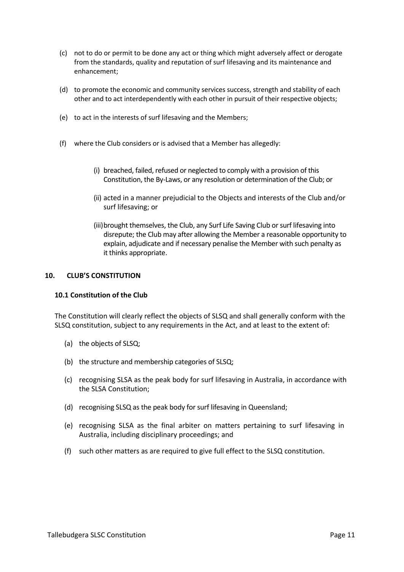- (c) not to do or permit to be done any act or thing which might adversely affect or derogate from the standards, quality and reputation of surf lifesaving and its maintenance and enhancement;
- (d) to promote the economic and community services success, strength and stability of each other and to act interdependently with each other in pursuit of their respective objects;
- (e) to act in the interests of surf lifesaving and the Members;
- (f) where the Club considers or is advised that a Member has allegedly:
	- (i) breached, failed, refused or neglected to comply with a provision of this Constitution, the By-Laws, or any resolution or determination of the Club; or
	- (ii) acted in a manner prejudicial to the Objects and interests of the Club and/or surf lifesaving; or
	- (iii)brought themselves, the Club, any Surf Life Saving Club or surf lifesaving into disrepute; the Club may after allowing the Member a reasonable opportunity to explain, adjudicate and if necessary penalise the Member with such penalty as it thinks appropriate.

#### **10. CLUB'S CONSTITUTION**

#### **10.1 Constitution of the Club**

The Constitution will clearly reflect the objects of SLSQ and shall generally conform with the SLSQ constitution, subject to any requirements in the Act, and at least to the extent of:

- (a) the objects of SLSQ;
- (b) the structure and membership categories of SLSQ;
- (c) recognising SLSA as the peak body for surf lifesaving in Australia, in accordance with the SLSA Constitution;
- (d) recognising SLSQ as the peak body for surf lifesaving in Queensland;
- (e) recognising SLSA as the final arbiter on matters pertaining to surf lifesaving in Australia, including disciplinary proceedings; and
- (f) such other matters as are required to give full effect to the SLSQ constitution.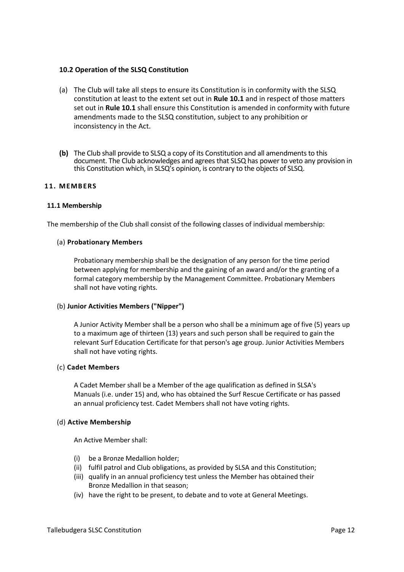#### **10.2 Operation of the SLSQ Constitution**

- (a) The Club will take all steps to ensure its Constitution is in conformity with the SLSQ constitution at least to the extent set out in **Rule 10.1** and in respect of those matters set out in **Rule 10.1** shall ensure this Constitution is amended in conformity with future amendments made to the SLSQ constitution, subject to any prohibition or inconsistency in the Act.
- **(b)** The Club shall provide to SLSQ a copy of its Constitution and all amendments to this document. The Club acknowledges and agrees that SLSQ has power to veto any provision in this Constitution which, in SLSQ's opinion, is contrary to the objects of SLSQ.

#### **11. MEMBERS**

#### **11.1 Membership**

The membership of the Club shall consist of the following classes of individual membership:

#### (a) **Probationary Members**

Probationary membership shall be the designation of any person for the time period between applying for membership and the gaining of an award and/or the granting of a formal category membership by the Management Committee. Probationary Members shall not have voting rights.

#### (b) **Junior Activities Members ("Nipper")**

A Junior Activity Member shall be a person who shall be a minimum age of five (5) years up to a maximum age of thirteen (13) years and such person shall be required to gain the relevant Surf Education Certificate for that person's age group. Junior Activities Members shall not have voting rights.

#### (c) **Cadet Members**

A Cadet Member shall be a Member of the age qualification as defined in SLSA's Manuals (i.e. under 15) and, who has obtained the Surf Rescue Certificate or has passed an annual proficiency test. Cadet Members shall not have voting rights.

#### (d) **Active Membership**

An Active Member shall:

- (i) be a Bronze Medallion holder;
- (ii) fulfil patrol and Club obligations, as provided by SLSA and this Constitution;
- (iii) qualify in an annual proficiency test unless the Member has obtained their Bronze Medallion in that season;
- (iv) have the right to be present, to debate and to vote at General Meetings.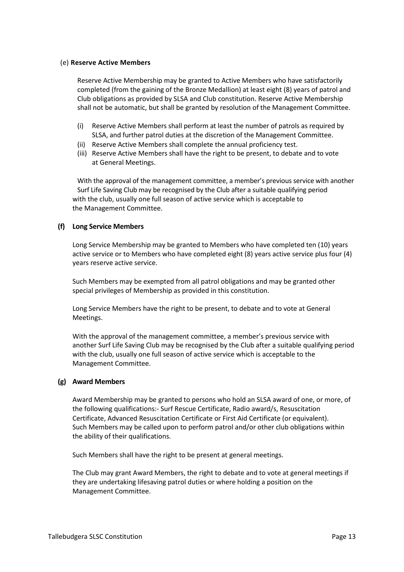#### (e) **Reserve Active Members**

Reserve Active Membership may be granted to Active Members who have satisfactorily completed (from the gaining of the Bronze Medallion) at least eight (8) years of patrol and Club obligations as provided by SLSA and Club constitution. Reserve Active Membership shall not be automatic, but shall be granted by resolution of the Management Committee.

- (i) Reserve Active Members shall perform at least the number of patrols as required by SLSA, and further patrol duties at the discretion of the Management Committee.
- (ii) Reserve Active Members shall complete the annual proficiency test.
- (iii) Reserve Active Members shall have the right to be present, to debate and to vote at General Meetings.

With the approval of the management committee, a member's previous service with another Surf Life Saving Club may be recognised by the Club after a suitable qualifying period with the club, usually one full season of active service which is acceptable to the Management Committee.

#### **(f) Long Service Members**

Long Service Membership may be granted to Members who have completed ten (10) years active service or to Members who have completed eight (8) years active service plus four (4) years reserve active service.

Such Members may be exempted from all patrol obligations and may be granted other special privileges of Membership as provided in this constitution.

Long Service Members have the right to be present, to debate and to vote at General Meetings.

With the approval of the management committee, a member's previous service with another Surf Life Saving Club may be recognised by the Club after a suitable qualifying period with the club, usually one full season of active service which is acceptable to the Management Committee.

#### **(g) Award Members**

Award Membership may be granted to persons who hold an SLSA award of one, or more, of the following qualifications:- Surf Rescue Certificate, Radio award/s, Resuscitation Certificate, Advanced Resuscitation Certificate or First Aid Certificate (or equivalent). Such Members may be called upon to perform patrol and/or other club obligations within the ability of their qualifications.

Such Members shall have the right to be present at general meetings.

The Club may grant Award Members, the right to debate and to vote at general meetings if they are undertaking lifesaving patrol duties or where holding a position on the Management Committee.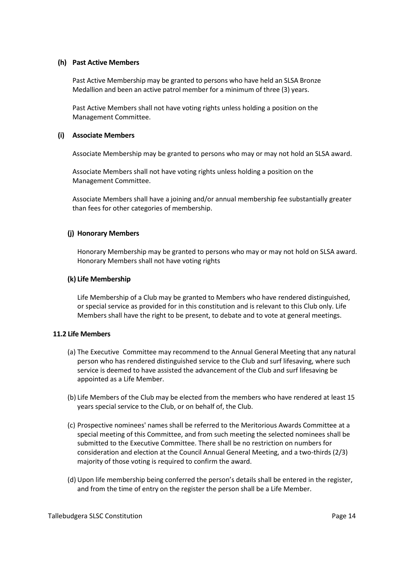#### **(h) Past Active Members**

Past Active Membership may be granted to persons who have held an SLSA Bronze Medallion and been an active patrol member for a minimum of three (3) years.

Past Active Members shall not have voting rights unless holding a position on the Management Committee.

#### **(i) Associate Members**

Associate Membership may be granted to persons who may or may not hold an SLSA award.

Associate Members shall not have voting rights unless holding a position on the Management Committee.

Associate Members shall have a joining and/or annual membership fee substantially greater than fees for other categories of membership.

#### **(j) Honorary Members**

Honorary Membership may be granted to persons who may or may not hold on SLSA award. Honorary Members shall not have voting rights

#### **(k) Life Membership**

Life Membership of a Club may be granted to Members who have rendered distinguished, or special service as provided for in this constitution and is relevant to this Club only. Life Members shall have the right to be present, to debate and to vote at general meetings.

#### **11.2 Life Members**

- (a) The Executive Committee may recommend to the Annual General Meeting that any natural person who has rendered distinguished service to the Club and surf lifesaving, where such service is deemed to have assisted the advancement of the Club and surf lifesaving be appointed as a Life Member.
- (b) Life Members of the Club may be elected from the members who have rendered at least 15 years special service to the Club, or on behalf of, the Club.
- (c) Prospective nominees' names shall be referred to the Meritorious Awards Committee at a special meeting of this Committee, and from such meeting the selected nominees shall be submitted to the Executive Committee. There shall be no restriction on numbers for consideration and election at the Council Annual General Meeting, and a two-thirds (2/3) majority of those voting is required to confirm the award.
- (d) Upon life membership being conferred the person's details shall be entered in the register, and from the time of entry on the register the person shall be a Life Member.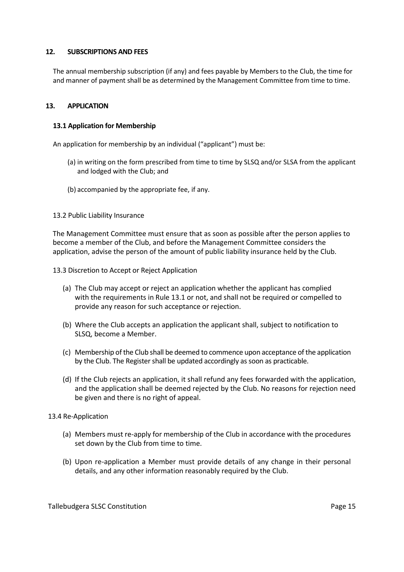#### **12. SUBSCRIPTIONS AND FEES**

The annual membership subscription (if any) and fees payable by Members to the Club, the time for and manner of payment shall be as determined by the Management Committee from time to time.

#### **13. APPLICATION**

#### **13.1 Application for Membership**

An application for membership by an individual ("applicant") must be:

- (a) in writing on the form prescribed from time to time by SLSQ and/or SLSA from the applicant and lodged with the Club; and
- (b) accompanied by the appropriate fee, if any.
- 13.2 Public Liability Insurance

The Management Committee must ensure that as soon as possible after the person applies to become a member of the Club, and before the Management Committee considers the application, advise the person of the amount of public liability insurance held by the Club.

- 13.3 Discretion to Accept or Reject Application
	- (a) The Club may accept or reject an application whether the applicant has complied with the requirements in Rule 13.1 or not, and shall not be required or compelled to provide any reason for such acceptance or rejection.
	- (b) Where the Club accepts an application the applicant shall, subject to notification to SLSQ, become a Member.
	- (c) Membership of the Club shall be deemed to commence upon acceptance of the application by the Club. The Register shall be updated accordingly as soon as practicable.
	- (d) If the Club rejects an application, it shall refund any fees forwarded with the application, and the application shall be deemed rejected by the Club. No reasons for rejection need be given and there is no right of appeal.

13.4 Re-Application

- (a) Members must re-apply for membership of the Club in accordance with the procedures set down by the Club from time to time.
- (b) Upon re-application a Member must provide details of any change in their personal details, and any other information reasonably required by the Club.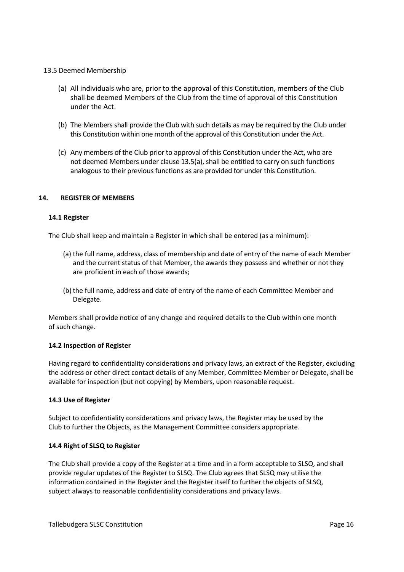#### 13.5 Deemed Membership

- (a) All individuals who are, prior to the approval of this Constitution, members of the Club shall be deemed Members of the Club from the time of approval of this Constitution under the Act.
- (b) The Members shall provide the Club with such details as may be required by the Club under this Constitution within one month of the approval of this Constitution under the Act.
- (c) Any members of the Club prior to approval of this Constitution under the Act, who are not deemed Members under clause 13.5(a), shall be entitled to carry on such functions analogous to their previous functions as are provided for under this Constitution.

#### **14. REGISTER OF MEMBERS**

#### **14.1 Register**

The Club shall keep and maintain a Register in which shall be entered (as a minimum):

- (a) the full name, address, class of membership and date of entry of the name of each Member and the current status of that Member, the awards they possess and whether or not they are proficient in each of those awards;
- (b) the full name, address and date of entry of the name of each Committee Member and Delegate.

Members shall provide notice of any change and required details to the Club within one month of such change.

#### **14.2 Inspection of Register**

Having regard to confidentiality considerations and privacy laws, an extract of the Register, excluding the address or other direct contact details of any Member, Committee Member or Delegate, shall be available for inspection (but not copying) by Members, upon reasonable request.

#### **14.3 Use of Register**

Subject to confidentiality considerations and privacy laws, the Register may be used by the Club to further the Objects, as the Management Committee considers appropriate.

#### **14.4 Right of SLSQ to Register**

The Club shall provide a copy of the Register at a time and in a form acceptable to SLSQ, and shall provide regular updates of the Register to SLSQ. The Club agrees that SLSQ may utilise the information contained in the Register and the Register itself to further the objects of SLSQ, subject always to reasonable confidentiality considerations and privacy laws.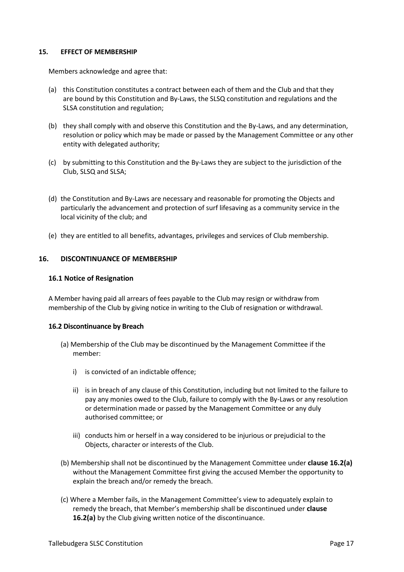#### **15. EFFECT OF MEMBERSHIP**

Members acknowledge and agree that:

- (a) this Constitution constitutes a contract between each of them and the Club and that they are bound by this Constitution and By-Laws, the SLSQ constitution and regulations and the SLSA constitution and regulation;
- (b) they shall comply with and observe this Constitution and the By-Laws, and any determination, resolution or policy which may be made or passed by the Management Committee or any other entity with delegated authority;
- (c) by submitting to this Constitution and the By-Laws they are subject to the jurisdiction of the Club, SLSQ and SLSA;
- (d) the Constitution and By-Laws are necessary and reasonable for promoting the Objects and particularly the advancement and protection of surf lifesaving as a community service in the local vicinity of the club; and
- (e) they are entitled to all benefits, advantages, privileges and services of Club membership.

#### **16. DISCONTINUANCE OF MEMBERSHIP**

#### **16.1 Notice of Resignation**

A Member having paid all arrears of fees payable to the Club may resign or withdraw from membership of the Club by giving notice in writing to the Club of resignation or withdrawal.

#### **16.2 Discontinuance by Breach**

- (a) Membership of the Club may be discontinued by the Management Committee if the member:
	- i) is convicted of an indictable offence;
	- ii) is in breach of any clause of this Constitution, including but not limited to the failure to pay any monies owed to the Club, failure to comply with the By-Laws or any resolution or determination made or passed by the Management Committee or any duly authorised committee; or
	- iii) conducts him or herself in a way considered to be injurious or prejudicial to the Objects, character or interests of the Club.
- (b) Membership shall not be discontinued by the Management Committee under **clause 16.2(a)**  without the Management Committee first giving the accused Member the opportunity to explain the breach and/or remedy the breach.
- (c) Where a Member fails, in the Management Committee's view to adequately explain to remedy the breach, that Member's membership shall be discontinued under **clause 16.2(a)** by the Club giving written notice of the discontinuance.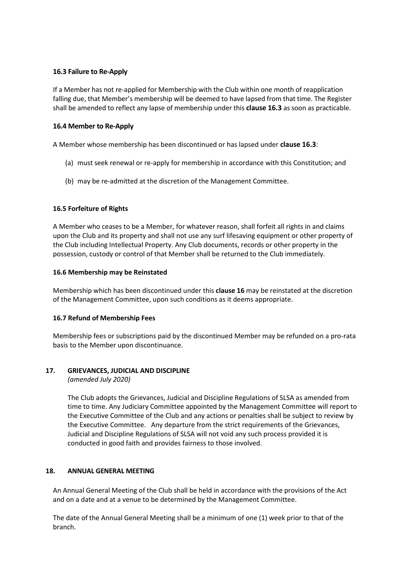#### **16.3 Failure to Re-Apply**

If a Member has not re-applied for Membership with the Club within one month of reapplication falling due, that Member's membership will be deemed to have lapsed from that time. The Register shall be amended to reflect any lapse of membership under this **clause 16.3** as soon as practicable.

#### **16.4 Member to Re-Apply**

A Member whose membership has been discontinued or has lapsed under **clause 16.3**:

- (a) must seek renewal or re-apply for membership in accordance with this Constitution; and
- (b) may be re-admitted at the discretion of the Management Committee.

#### **16.5 Forfeiture of Rights**

A Member who ceases to be a Member, for whatever reason, shall forfeit all rights in and claims upon the Club and its property and shall not use any surf lifesaving equipment or other property of the Club including Intellectual Property. Any Club documents, records or other property in the possession, custody or control of that Member shall be returned to the Club immediately.

#### **16.6 Membership may be Reinstated**

Membership which has been discontinued under this **clause 16** may be reinstated at the discretion of the Management Committee, upon such conditions as it deems appropriate.

#### **16.7 Refund of Membership Fees**

Membership fees or subscriptions paid by the discontinued Member may be refunded on a pro-rata basis to the Member upon discontinuance.

### **17. GRIEVANCES, JUDICIAL AND DISCIPLINE**

*(amended July 2020)*

The Club adopts the Grievances, Judicial and Discipline Regulations of SLSA as amended from time to time. Any Judiciary Committee appointed by the Management Committee will report to the Executive Committee of the Club and any actions or penalties shall be subject to review by the Executive Committee. Any departure from the strict requirements of the Grievances, Judicial and Discipline Regulations of SLSA will not void any such process provided it is conducted in good faith and provides fairness to those involved.

#### **18. ANNUAL GENERAL MEETING**

An Annual General Meeting of the Club shall be held in accordance with the provisions of the Act and on a date and at a venue to be determined by the Management Committee.

The date of the Annual General Meeting shall be a minimum of one (1) week prior to that of the branch.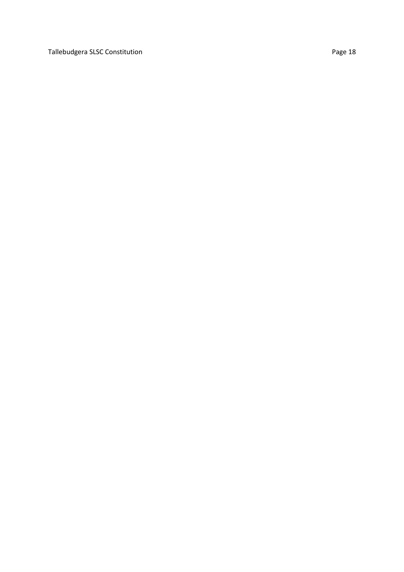Tallebudgera SLSC Constitution Page 18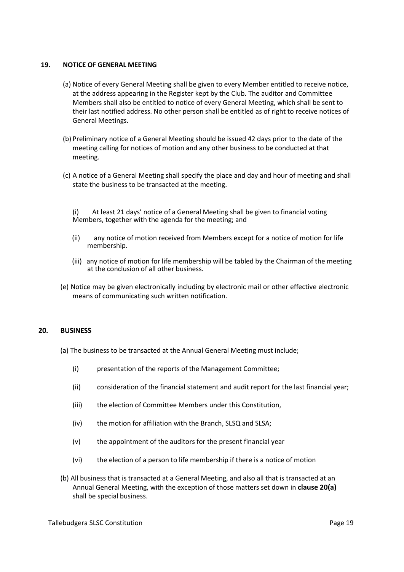#### **19. NOTICE OF GENERAL MEETING**

- (a) Notice of every General Meeting shall be given to every Member entitled to receive notice, at the address appearing in the Register kept by the Club. The auditor and Committee Members shall also be entitled to notice of every General Meeting, which shall be sent to their last notified address. No other person shall be entitled as of right to receive notices of General Meetings.
- (b) Preliminary notice of a General Meeting should be issued 42 days prior to the date of the meeting calling for notices of motion and any other business to be conducted at that meeting.
- (c) A notice of a General Meeting shall specify the place and day and hour of meeting and shall state the business to be transacted at the meeting.

(i) At least 21 days' notice of a General Meeting shall be given to financial voting Members, together with the agenda for the meeting; and

- (ii) any notice of motion received from Members except for a notice of motion for life membership.
- (iii) any notice of motion for life membership will be tabled by the Chairman of the meeting at the conclusion of all other business.
- (e) Notice may be given electronically including by electronic mail or other effective electronic means of communicating such written notification.

#### **20. BUSINESS**

- (a) The business to be transacted at the Annual General Meeting must include;
	- (i) presentation of the reports of the Management Committee;
	- (ii) consideration of the financial statement and audit report for the last financial year;
	- (iii) the election of Committee Members under this Constitution,
	- (iv) the motion for affiliation with the Branch, SLSQ and SLSA;
	- (v) the appointment of the auditors for the present financial year
	- (vi) the election of a person to life membership if there is a notice of motion
- (b) All business that is transacted at a General Meeting, and also all that is transacted at an Annual General Meeting, with the exception of those matters set down in **clause 20(a)**  shall be special business.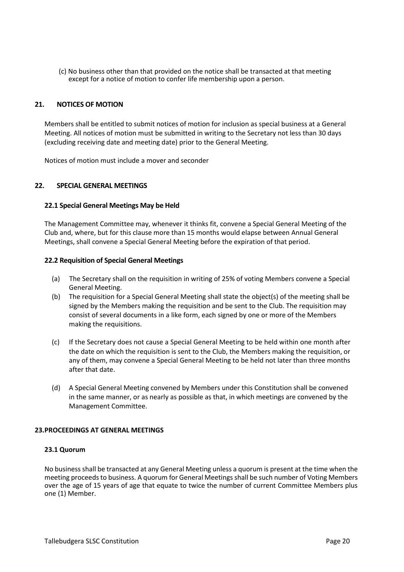(c) No business other than that provided on the notice shall be transacted at that meeting except for a notice of motion to confer life membership upon a person.

#### **21. NOTICES OF MOTION**

Members shall be entitled to submit notices of motion for inclusion as special business at a General Meeting. All notices of motion must be submitted in writing to the Secretary not less than 30 days (excluding receiving date and meeting date) prior to the General Meeting.

Notices of motion must include a mover and seconder

#### **22. SPECIAL GENERAL MEETINGS**

#### **22.1 Special General Meetings May be Held**

The Management Committee may, whenever it thinks fit, convene a Special General Meeting of the Club and, where, but for this clause more than 15 months would elapse between Annual General Meetings, shall convene a Special General Meeting before the expiration of that period.

#### **22.2 Requisition of Special General Meetings**

- (a) The Secretary shall on the requisition in writing of 25% of voting Members convene a Special General Meeting.
- (b) The requisition for a Special General Meeting shall state the object(s) of the meeting shall be signed by the Members making the requisition and be sent to the Club. The requisition may consist of several documents in a like form, each signed by one or more of the Members making the requisitions.
- (c) If the Secretary does not cause a Special General Meeting to be held within one month after the date on which the requisition is sent to the Club, the Members making the requisition, or any of them, may convene a Special General Meeting to be held not later than three months after that date.
- (d) A Special General Meeting convened by Members under this Constitution shall be convened in the same manner, or as nearly as possible as that, in which meetings are convened by the Management Committee.

#### **23.PROCEEDINGS AT GENERAL MEETINGS**

#### **23.1 Quorum**

No business shall be transacted at any General Meeting unless a quorum is present at the time when the meeting proceeds to business. A quorum for General Meetings shall be such number of Voting Members over the age of 15 years of age that equate to twice the number of current Committee Members plus one (1) Member.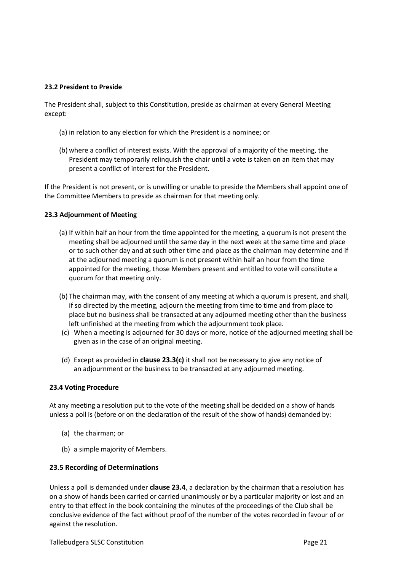#### **23.2 President to Preside**

The President shall, subject to this Constitution, preside as chairman at every General Meeting except:

- (a) in relation to any election for which the President is a nominee; or
- (b) where a conflict of interest exists. With the approval of a majority of the meeting, the President may temporarily relinquish the chair until a vote is taken on an item that may present a conflict of interest for the President.

If the President is not present, or is unwilling or unable to preside the Members shall appoint one of the Committee Members to preside as chairman for that meeting only.

#### **23.3 Adjournment of Meeting**

- (a) If within half an hour from the time appointed for the meeting, a quorum is not present the meeting shall be adjourned until the same day in the next week at the same time and place or to such other day and at such other time and place as the chairman may determine and if at the adjourned meeting a quorum is not present within half an hour from the time appointed for the meeting, those Members present and entitled to vote will constitute a quorum for that meeting only.
- (b) The chairman may, with the consent of any meeting at which a quorum is present, and shall, if so directed by the meeting, adjourn the meeting from time to time and from place to place but no business shall be transacted at any adjourned meeting other than the business left unfinished at the meeting from which the adjournment took place.
- (c) When a meeting is adjourned for 30 days or more, notice of the adjourned meeting shall be given as in the case of an original meeting.
- (d) Except as provided in **clause 23.3(c)** it shall not be necessary to give any notice of an adjournment or the business to be transacted at any adjourned meeting.

#### **23.4 Voting Procedure**

At any meeting a resolution put to the vote of the meeting shall be decided on a show of hands unless a poll is (before or on the declaration of the result of the show of hands) demanded by:

- (a) the chairman; or
- (b) a simple majority of Members.

#### **23.5 Recording of Determinations**

Unless a poll is demanded under **clause 23.4**, a declaration by the chairman that a resolution has on a show of hands been carried or carried unanimously or by a particular majority or lost and an entry to that effect in the book containing the minutes of the proceedings of the Club shall be conclusive evidence of the fact without proof of the number of the votes recorded in favour of or against the resolution.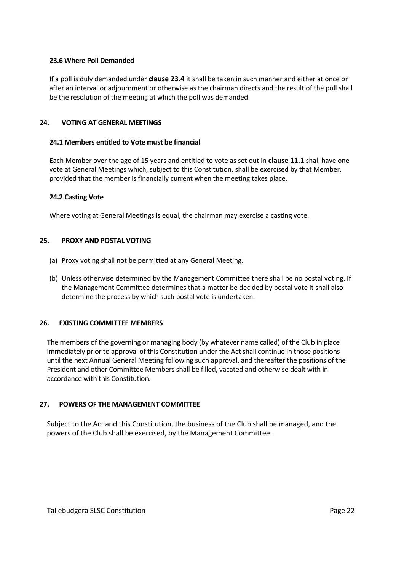#### **23.6 Where Poll Demanded**

If a poll is duly demanded under **clause 23.4** it shall be taken in such manner and either at once or after an interval or adjournment or otherwise as the chairman directs and the result of the poll shall be the resolution of the meeting at which the poll was demanded.

#### **24. VOTING AT GENERAL MEETINGS**

#### **24.1 Members entitled to Vote must be financial**

Each Member over the age of 15 years and entitled to vote as set out in **clause 11.1** shall have one vote at General Meetings which, subject to this Constitution, shall be exercised by that Member, provided that the member is financially current when the meeting takes place.

#### **24.2 Casting Vote**

Where voting at General Meetings is equal, the chairman may exercise a casting vote.

#### **25. PROXY AND POSTAL VOTING**

- (a) Proxy voting shall not be permitted at any General Meeting.
- (b) Unless otherwise determined by the Management Committee there shall be no postal voting. If the Management Committee determines that a matter be decided by postal vote it shall also determine the process by which such postal vote is undertaken.

#### **26. EXISTING COMMITTEE MEMBERS**

The members of the governing or managing body (by whatever name called) of the Club in place immediately prior to approval of this Constitution under the Act shall continue in those positions until the next Annual General Meeting following such approval, and thereafter the positions of the President and other Committee Members shall be filled, vacated and otherwise dealt with in accordance with this Constitution.

#### **27. POWERS OF THE MANAGEMENT COMMITTEE**

Subject to the Act and this Constitution, the business of the Club shall be managed, and the powers of the Club shall be exercised, by the Management Committee.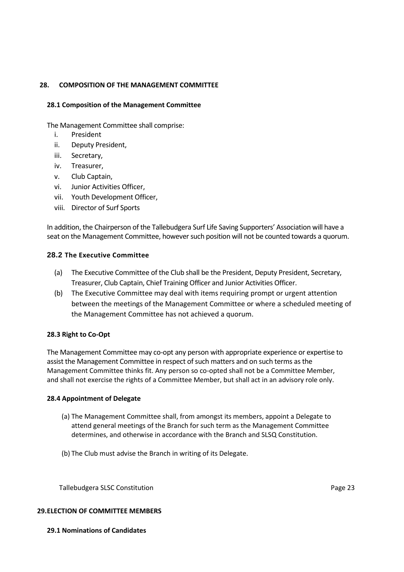#### **28. COMPOSITION OF THE MANAGEMENT COMMITTEE**

#### **28.1 Composition of the Management Committee**

The Management Committee shall comprise:

- i. President
- ii. Deputy President,
- iii. Secretary,
- iv. Treasurer,
- v. Club Captain,
- vi. Junior Activities Officer,
- vii. Youth Development Officer,
- viii. Director of Surf Sports

In addition, the Chairperson of the Tallebudgera Surf Life Saving Supporters' Association will have a seat on the Management Committee, however such position will not be counted towards a quorum.

#### **28.2 The Executive Committee**

- (a) The Executive Committee of the Club shall be the President, Deputy President, Secretary, Treasurer, Club Captain, Chief Training Officer and Junior Activities Officer.
- (b) The Executive Committee may deal with items requiring prompt or urgent attention between the meetings of the Management Committee or where a scheduled meeting of the Management Committee has not achieved a quorum.

#### **28.3 Right to Co-Opt**

The Management Committee may co-opt any person with appropriate experience or expertise to assist the Management Committee in respect of such matters and on such terms as the Management Committee thinks fit. Any person so co-opted shall not be a Committee Member, and shall not exercise the rights of a Committee Member, but shall act in an advisory role only.

#### **28.4 Appointment of Delegate**

- (a) The Management Committee shall, from amongst its members, appoint a Delegate to attend general meetings of the Branch for such term as the Management Committee determines, and otherwise in accordance with the Branch and SLSQ Constitution.
- (b) The Club must advise the Branch in writing of its Delegate.

Tallebudgera SLSC Constitution Page 23

#### **29.ELECTION OF COMMITTEE MEMBERS**

**29.1 Nominations of Candidates**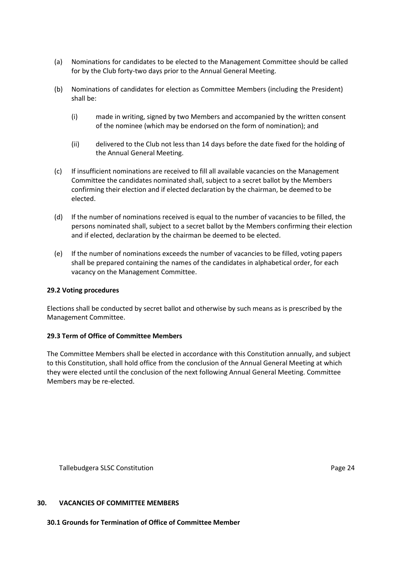- (a) Nominations for candidates to be elected to the Management Committee should be called for by the Club forty-two days prior to the Annual General Meeting.
- (b) Nominations of candidates for election as Committee Members (including the President) shall be:
	- (i) made in writing, signed by two Members and accompanied by the written consent of the nominee (which may be endorsed on the form of nomination); and
	- (ii) delivered to the Club not less than 14 days before the date fixed for the holding of the Annual General Meeting.
- (c) If insufficient nominations are received to fill all available vacancies on the Management Committee the candidates nominated shall, subject to a secret ballot by the Members confirming their election and if elected declaration by the chairman, be deemed to be elected.
- (d) If the number of nominations received is equal to the number of vacancies to be filled, the persons nominated shall, subject to a secret ballot by the Members confirming their election and if elected, declaration by the chairman be deemed to be elected.
- (e) If the number of nominations exceeds the number of vacancies to be filled, voting papers shall be prepared containing the names of the candidates in alphabetical order, for each vacancy on the Management Committee.

#### **29.2 Voting procedures**

Elections shall be conducted by secret ballot and otherwise by such means as is prescribed by the Management Committee.

#### **29.3 Term of Office of Committee Members**

The Committee Members shall be elected in accordance with this Constitution annually, and subject to this Constitution, shall hold office from the conclusion of the Annual General Meeting at which they were elected until the conclusion of the next following Annual General Meeting. Committee Members may be re-elected.

Tallebudgera SLSC Constitution Page 24

#### **30. VACANCIES OF COMMITTEE MEMBERS**

**30.1 Grounds for Termination of Office of Committee Member**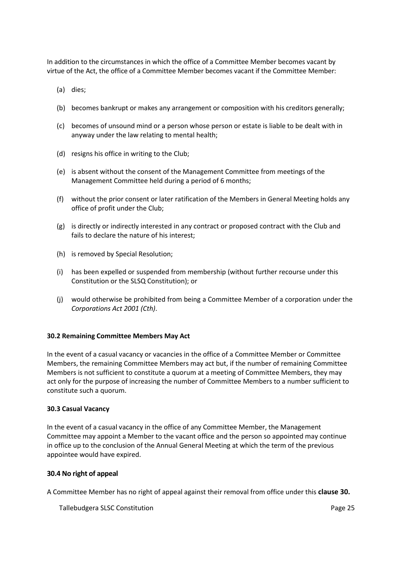In addition to the circumstances in which the office of a Committee Member becomes vacant by virtue of the Act, the office of a Committee Member becomes vacant if the Committee Member:

- (a) dies;
- (b) becomes bankrupt or makes any arrangement or composition with his creditors generally;
- (c) becomes of unsound mind or a person whose person or estate is liable to be dealt with in anyway under the law relating to mental health;
- (d) resigns his office in writing to the Club;
- (e) is absent without the consent of the Management Committee from meetings of the Management Committee held during a period of 6 months;
- (f) without the prior consent or later ratification of the Members in General Meeting holds any office of profit under the Club;
- (g) is directly or indirectly interested in any contract or proposed contract with the Club and fails to declare the nature of his interest;
- (h) is removed by Special Resolution;
- (i) has been expelled or suspended from membership (without further recourse under this Constitution or the SLSQ Constitution); or
- (j) would otherwise be prohibited from being a Committee Member of a corporation under the *Corporations Act 2001 (Cth)*.

#### **30.2 Remaining Committee Members May Act**

In the event of a casual vacancy or vacancies in the office of a Committee Member or Committee Members, the remaining Committee Members may act but, if the number of remaining Committee Members is not sufficient to constitute a quorum at a meeting of Committee Members, they may act only for the purpose of increasing the number of Committee Members to a number sufficient to constitute such a quorum.

#### **30.3 Casual Vacancy**

In the event of a casual vacancy in the office of any Committee Member, the Management Committee may appoint a Member to the vacant office and the person so appointed may continue in office up to the conclusion of the Annual General Meeting at which the term of the previous appointee would have expired.

#### **30.4 No right of appeal**

A Committee Member has no right of appeal against their removal from office under this **clause 30.**

Tallebudgera SLSC Constitution **Page 25** and Page 25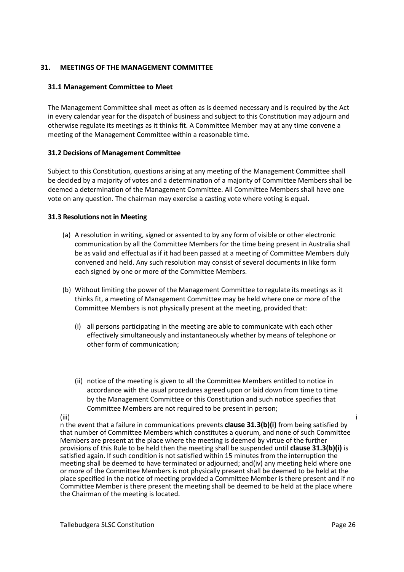#### **31. MEETINGS OF THE MANAGEMENT COMMITTEE**

#### **31.1 Management Committee to Meet**

The Management Committee shall meet as often as is deemed necessary and is required by the Act in every calendar year for the dispatch of business and subject to this Constitution may adjourn and otherwise regulate its meetings as it thinks fit. A Committee Member may at any time convene a meeting of the Management Committee within a reasonable time.

#### **31.2 Decisions of Management Committee**

Subject to this Constitution, questions arising at any meeting of the Management Committee shall be decided by a majority of votes and a determination of a majority of Committee Members shall be deemed a determination of the Management Committee. All Committee Members shall have one vote on any question. The chairman may exercise a casting vote where voting is equal.

#### **31.3 Resolutions not in Meeting**

- (a) A resolution in writing, signed or assented to by any form of visible or other electronic communication by all the Committee Members for the time being present in Australia shall be as valid and effectual as if it had been passed at a meeting of Committee Members duly convened and held. Any such resolution may consist of several documents in like form each signed by one or more of the Committee Members.
- (b) Without limiting the power of the Management Committee to regulate its meetings as it thinks fit, a meeting of Management Committee may be held where one or more of the Committee Members is not physically present at the meeting, provided that:
	- (i) all persons participating in the meeting are able to communicate with each other effectively simultaneously and instantaneously whether by means of telephone or other form of communication;
	- (ii) notice of the meeting is given to all the Committee Members entitled to notice in accordance with the usual procedures agreed upon or laid down from time to time by the Management Committee or this Constitution and such notice specifies that Committee Members are not required to be present in person;

(iii) and its contract of the contract of the contract of the contract of the contract of the contract of the c n the event that a failure in communications prevents **clause 31.3(b)(i)** from being satisfied by that number of Committee Members which constitutes a quorum, and none of such Committee Members are present at the place where the meeting is deemed by virtue of the further provisions of this Rule to be held then the meeting shall be suspended until **clause 31.3(b)(i)** is satisfied again. If such condition is not satisfied within 15 minutes from the interruption the meeting shall be deemed to have terminated or adjourned; and(iv) any meeting held where one or more of the Committee Members is not physically present shall be deemed to be held at the place specified in the notice of meeting provided a Committee Member is there present and if no Committee Member is there present the meeting shall be deemed to be held at the place where the Chairman of the meeting is located.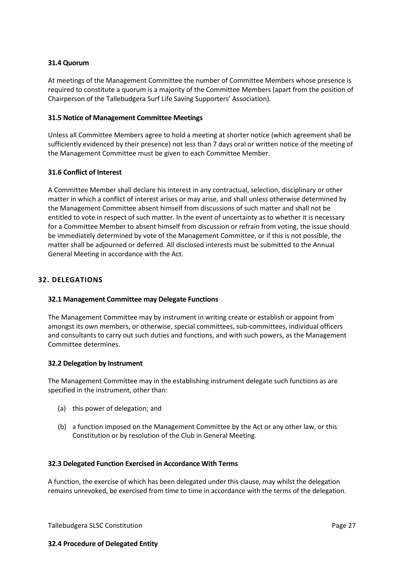#### **31.4 Quorum**

At meetings of the Management Committee the number of Committee Members whose presence is required to constitute a quorum is a majority of the Committee Members (apart from the position of Chairperson of the Tallebudgera Surf Life Saving Supporters' Association).

#### **31.5 Notice of Management Committee Meetings**

Unless all Committee Members agree to hold a meeting at shorter notice (which agreement shall be sufficiently evidenced by their presence) not less than 7 days oral or written notice of the meeting of the Management Committee must be given to each Committee Member.

#### **31.6 Conflict of Interest**

A Committee Member shall declare his interest in any contractual, selection, disciplinary or other matter in which a conflict of interest arises or may arise, and shall unless otherwise determined by the Management Committee absent himself from discussions of such matter and shall not be entitled to vote in respect of such matter. In the event of uncertainty as to whether it is necessary for a Committee Member to absent himself from discussion or refrain from voting, the issue should be immediately determined by vote of the Management Committee, or if this is not possible, the matter shall be adjourned or deferred. All disclosed interests must be submitted to the Annual General Meeting in accordance with the Act.

#### **32. DELEGATIONS**

#### **32.1 Management Committee may Delegate Functions**

The Management Committee may by instrument in writing create or establish or appoint from amongst its own members, or otherwise, special committees, sub-committees, individual officers and consultants to carry out such duties and functions, and with such powers, as the Management Committee determines.

#### **32.2 Delegation by Instrument**

The Management Committee may in the establishing instrument delegate such functions as are specified in the instrument, other than:

- (a) this power of delegation; and
- (b) a function imposed on the Management Committee by the Act or any other law, or this Constitution or by resolution of the Club in General Meeting.

#### **32.3 Delegated Function Exercised in Accordance With Terms**

A function, the exercise of which has been delegated under this clause, may whilst the delegation remains unrevoked, be exercised from time to time in accordance with the terms of the delegation.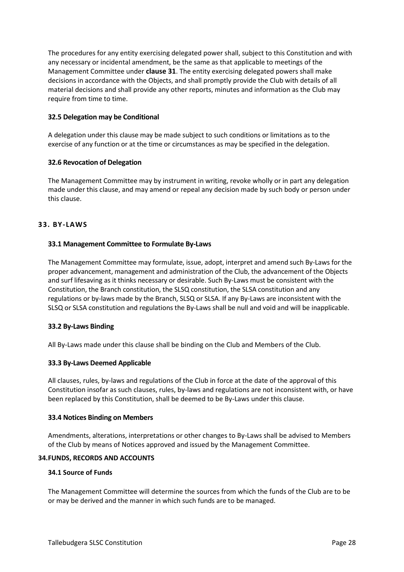The procedures for any entity exercising delegated power shall, subject to this Constitution and with any necessary or incidental amendment, be the same as that applicable to meetings of the Management Committee under **clause 31**. The entity exercising delegated powers shall make decisions in accordance with the Objects, and shall promptly provide the Club with details of all material decisions and shall provide any other reports, minutes and information as the Club may require from time to time.

#### **32.5 Delegation may be Conditional**

A delegation under this clause may be made subject to such conditions or limitations as to the exercise of any function or at the time or circumstances as may be specified in the delegation.

#### **32.6 Revocation of Delegation**

The Management Committee may by instrument in writing, revoke wholly or in part any delegation made under this clause, and may amend or repeal any decision made by such body or person under this clause.

#### **33. BY-LAWS**

#### **33.1 Management Committee to Formulate By-Laws**

The Management Committee may formulate, issue, adopt, interpret and amend such By-Laws for the proper advancement, management and administration of the Club, the advancement of the Objects and surf lifesaving as it thinks necessary or desirable. Such By-Laws must be consistent with the Constitution, the Branch constitution, the SLSQ constitution, the SLSA constitution and any regulations or by-laws made by the Branch, SLSQ or SLSA. If any By-Laws are inconsistent with the SLSQ or SLSA constitution and regulations the By-Laws shall be null and void and will be inapplicable.

#### **33.2 By-Laws Binding**

All By-Laws made under this clause shall be binding on the Club and Members of the Club.

#### **33.3 By-Laws Deemed Applicable**

All clauses, rules, by-laws and regulations of the Club in force at the date of the approval of this Constitution insofar as such clauses, rules, by-laws and regulations are not inconsistent with, or have been replaced by this Constitution, shall be deemed to be By-Laws under this clause.

#### **33.4 Notices Binding on Members**

Amendments, alterations, interpretations or other changes to By-Laws shall be advised to Members of the Club by means of Notices approved and issued by the Management Committee.

#### **34.FUNDS, RECORDS AND ACCOUNTS**

#### **34.1 Source of Funds**

The Management Committee will determine the sources from which the funds of the Club are to be or may be derived and the manner in which such funds are to be managed.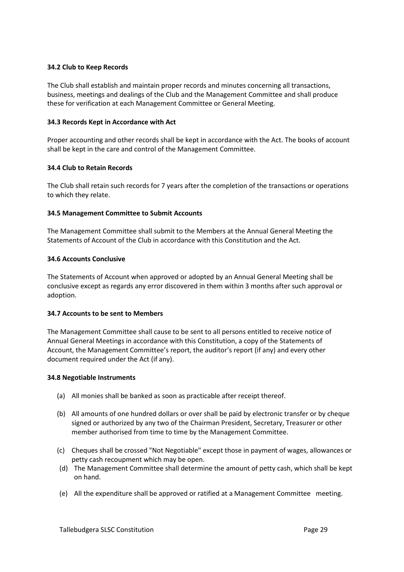#### **34.2 Club to Keep Records**

The Club shall establish and maintain proper records and minutes concerning all transactions, business, meetings and dealings of the Club and the Management Committee and shall produce these for verification at each Management Committee or General Meeting.

#### **34.3 Records Kept in Accordance with Act**

Proper accounting and other records shall be kept in accordance with the Act. The books of account shall be kept in the care and control of the Management Committee.

#### **34.4 Club to Retain Records**

The Club shall retain such records for 7 years after the completion of the transactions or operations to which they relate.

#### **34.5 Management Committee to Submit Accounts**

The Management Committee shall submit to the Members at the Annual General Meeting the Statements of Account of the Club in accordance with this Constitution and the Act.

#### **34.6 Accounts Conclusive**

The Statements of Account when approved or adopted by an Annual General Meeting shall be conclusive except as regards any error discovered in them within 3 months after such approval or adoption.

#### **34.7 Accounts to be sent to Members**

The Management Committee shall cause to be sent to all persons entitled to receive notice of Annual General Meetings in accordance with this Constitution, a copy of the Statements of Account, the Management Committee's report, the auditor's report (if any) and every other document required under the Act (if any).

#### **34.8 Negotiable Instruments**

- (a) All monies shall be banked as soon as practicable after receipt thereof.
- (b) All amounts of one hundred dollars or over shall be paid by electronic transfer or by cheque signed or authorized by any two of the Chairman President, Secretary, Treasurer or other member authorised from time to time by the Management Committee.
- (c) Cheques shall be crossed "Not Negotiable" except those in payment of wages, allowances or petty cash recoupment which may be open.
- (d) The Management Committee shall determine the amount of petty cash, which shall be kept on hand.
- (e) All the expenditure shall be approved or ratified at a Management Committee meeting.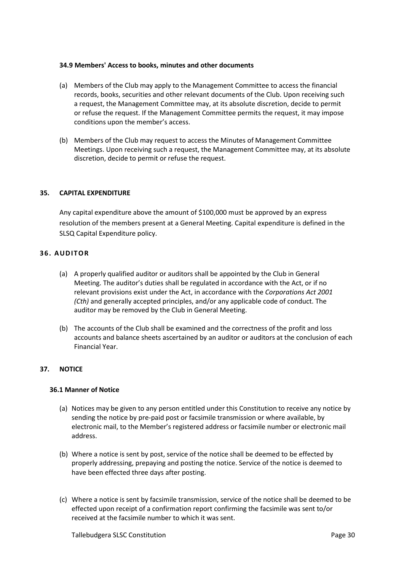#### **34.9 Members' Access to books, minutes and other documents**

- (a) Members of the Club may apply to the Management Committee to access the financial records, books, securities and other relevant documents of the Club. Upon receiving such a request, the Management Committee may, at its absolute discretion, decide to permit or refuse the request. If the Management Committee permits the request, it may impose conditions upon the member's access.
- (b) Members of the Club may request to access the Minutes of Management Committee Meetings. Upon receiving such a request, the Management Committee may, at its absolute discretion, decide to permit or refuse the request.

#### **35. CAPITAL EXPENDITURE**

Any capital expenditure above the amount of \$100,000 must be approved by an express resolution of the members present at a General Meeting. Capital expenditure is defined in the SLSQ Capital Expenditure policy.

#### **36. AUDIT OR**

- (a) A properly qualified auditor or auditors shall be appointed by the Club in General Meeting. The auditor's duties shall be regulated in accordance with the Act, or if no relevant provisions exist under the Act, in accordance with the *Corporations Act 2001 (Cth)* and generally accepted principles, and/or any applicable code of conduct. The auditor may be removed by the Club in General Meeting.
- (b) The accounts of the Club shall be examined and the correctness of the profit and loss accounts and balance sheets ascertained by an auditor or auditors at the conclusion of each Financial Year.

#### **37. NOTICE**

#### **36.1 Manner of Notice**

- (a) Notices may be given to any person entitled under this Constitution to receive any notice by sending the notice by pre-paid post or facsimile transmission or where available, by electronic mail, to the Member's registered address or facsimile number or electronic mail address.
- (b) Where a notice is sent by post, service of the notice shall be deemed to be effected by properly addressing, prepaying and posting the notice. Service of the notice is deemed to have been effected three days after posting.
- (c) Where a notice is sent by facsimile transmission, service of the notice shall be deemed to be effected upon receipt of a confirmation report confirming the facsimile was sent to/or received at the facsimile number to which it was sent.

Tallebudgera SLSC Constitution **Page 30**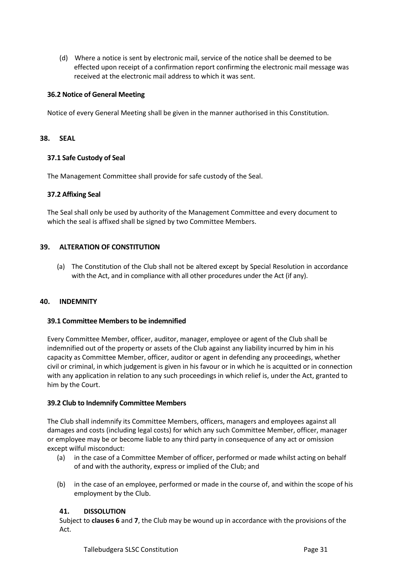(d) Where a notice is sent by electronic mail, service of the notice shall be deemed to be effected upon receipt of a confirmation report confirming the electronic mail message was received at the electronic mail address to which it was sent.

#### **36.2 Notice of General Meeting**

Notice of every General Meeting shall be given in the manner authorised in this Constitution.

#### **38. SEAL**

#### **37.1 Safe Custody of Seal**

The Management Committee shall provide for safe custody of the Seal.

#### **37.2 Affixing Seal**

The Seal shall only be used by authority of the Management Committee and every document to which the seal is affixed shall be signed by two Committee Members.

#### **39. ALTERATION OF CONSTITUTION**

(a) The Constitution of the Club shall not be altered except by Special Resolution in accordance with the Act, and in compliance with all other procedures under the Act (if any).

#### **40. INDEMNITY**

#### **39.1 Committee Members to be indemnified**

Every Committee Member, officer, auditor, manager, employee or agent of the Club shall be indemnified out of the property or assets of the Club against any liability incurred by him in his capacity as Committee Member, officer, auditor or agent in defending any proceedings, whether civil or criminal, in which judgement is given in his favour or in which he is acquitted or in connection with any application in relation to any such proceedings in which relief is, under the Act, granted to him by the Court.

#### **39.2 Club to Indemnify Committee Members**

The Club shall indemnify its Committee Members, officers, managers and employees against all damages and costs (including legal costs) for which any such Committee Member, officer, manager or employee may be or become liable to any third party in consequence of any act or omission except wilful misconduct:

- (a) in the case of a Committee Member of officer, performed or made whilst acting on behalf of and with the authority, express or implied of the Club; and
- (b) in the case of an employee, performed or made in the course of, and within the scope of his employment by the Club.

#### **41. DISSOLUTION**

Subject to **clauses 6** and **7**, the Club may be wound up in accordance with the provisions of the Act.